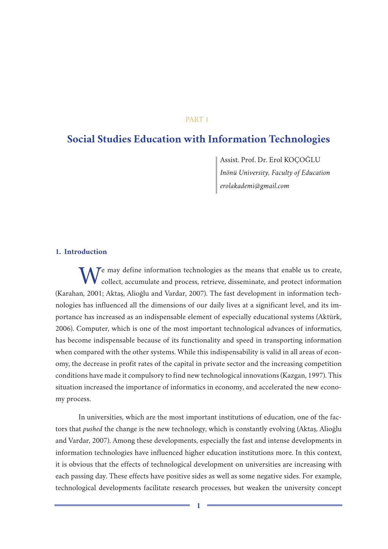## PART 1

# **Social Studies Education with Information Technologies**

Assist. Prof. Dr. Erol KOÇOĞLU *Inönü University, Faculty of Education erolakademi@gmail.com*

## **1. Introduction**

We may define information technologies as the means that enable us to create, collect, accumulate and process, retrieve, disseminate, and protect information (Karahan, 2001; Aktaş, Alioğlu and Vardar, 2007). The fast development in information technologies has influenced all the dimensions of our daily lives at a significant level, and its importance has increased as an indispensable element of especially educational systems (Aktürk, 2006). Computer, which is one of the most important technological advances of informatics, has become indispensable because of its functionality and speed in transporting information when compared with the other systems. While this indispensability is valid in all areas of economy, the decrease in profit rates of the capital in private sector and the increasing competition conditions have made it compulsory to find new technological innovations (Kazgan, 1997). This situation increased the importance of informatics in economy, and accelerated the new economy process.

In universities, which are the most important institutions of education, one of the factors that *pushed* the change is the new technology, which is constantly evolving (Aktaş, Alioğlu and Vardar, 2007). Among these developments, especially the fast and intense developments in information technologies have influenced higher education institutions more. In this context, it is obvious that the effects of technological development on universities are increasing with each passing day. These effects have positive sides as well as some negative sides. For example, technological developments facilitate research processes, but weaken the university concept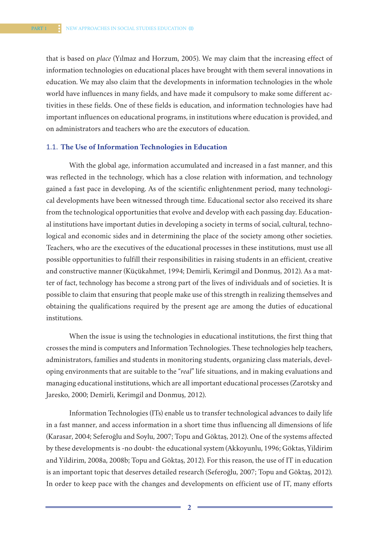that is based on *place* (Yılmaz and Horzum, 2005). We may claim that the increasing effect of information technologies on educational places have brought with them several innovations in education. We may also claim that the developments in information technologies in the whole world have influences in many fields, and have made it compulsory to make some different activities in these fields. One of these fields is education, and information technologies have had important influences on educational programs, in institutions where education is provided, and on administrators and teachers who are the executors of education.

#### 1.1. **The Use of Information Technologies in Education**

With the global age, information accumulated and increased in a fast manner, and this was reflected in the technology, which has a close relation with information, and technology gained a fast pace in developing. As of the scientific enlightenment period, many technological developments have been witnessed through time. Educational sector also received its share from the technological opportunities that evolve and develop with each passing day. Educational institutions have important duties in developing a society in terms of social, cultural, technological and economic sides and in determining the place of the society among other societies. Teachers, who are the executives of the educational processes in these institutions, must use all possible opportunities to fulfill their responsibilities in raising students in an efficient, creative and constructive manner (Küçükahmet, 1994; Demirli, Kerimgil and Donmuş, 2012). As a matter of fact, technology has become a strong part of the lives of individuals and of societies. It is possible to claim that ensuring that people make use of this strength in realizing themselves and obtaining the qualifications required by the present age are among the duties of educational institutions.

When the issue is using the technologies in educational institutions, the first thing that crosses the mind is computers and Information Technologies. These technologies help teachers, administrators, families and students in monitoring students, organizing class materials, developing environments that are suitable to the "*real*" life situations, and in making evaluations and managing educational institutions, which are all important educational processes (Zarotsky and Jaresko, 2000; Demirli, Kerimgil and Donmuş, 2012).

Information Technologies (ITs) enable us to transfer technological advances to daily life in a fast manner, and access information in a short time thus influencing all dimensions of life (Karasar, 2004; Seferoğlu and Soylu, 2007; Topu and Göktaş, 2012). One of the systems affected by these developments is -no doubt- the educational system (Akkoyunlu, 1996; Göktas, Yildirim and Yildirim, 2008a, 2008b; Topu and Göktaş, 2012). For this reason, the use of IT in education is an important topic that deserves detailed research (Seferoğlu, 2007; Topu and Göktaş, 2012). In order to keep pace with the changes and developments on efficient use of IT, many efforts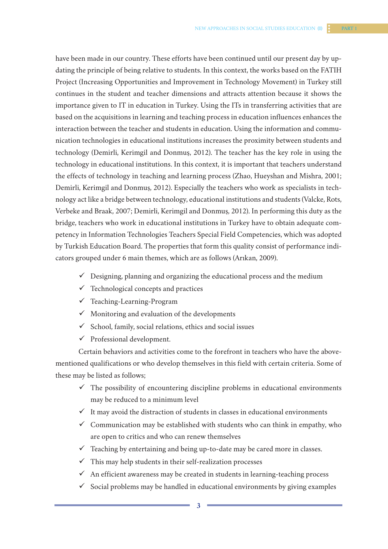have been made in our country. These efforts have been continued until our present day by updating the principle of being relative to students. In this context, the works based on the FATIH Project (Increasing Opportunities and Improvement in Technology Movement) in Turkey still continues in the student and teacher dimensions and attracts attention because it shows the importance given to IT in education in Turkey. Using the ITs in transferring activities that are based on the acquisitions in learning and teaching process in education influences enhances the interaction between the teacher and students in education. Using the information and communication technologies in educational institutions increases the proximity between students and technology (Demirli, Kerimgil and Donmuş, 2012). The teacher has the key role in using the technology in educational institutions. In this context, it is important that teachers understand the effects of technology in teaching and learning process (Zhao, Hueyshan and Mishra, 2001; Demirli, Kerimgil and Donmuş, 2012). Especially the teachers who work as specialists in technology act like a bridge between technology, educational institutions and students (Valcke, Rots, Verbeke and Braak, 2007; Demirli, Kerimgil and Donmuş, 2012). In performing this duty as the bridge, teachers who work in educational institutions in Turkey have to obtain adequate competency in Information Technologies Teachers Special Field Competencies, which was adopted by Turkish Education Board. The properties that form this quality consist of performance indicators grouped under 6 main themes, which are as follows (Arıkan, 2009).

- $\checkmark$  Designing, planning and organizing the educational process and the medium
- $\checkmark$  Technological concepts and practices
- Teaching-Learning-Program
- $\checkmark$  Monitoring and evaluation of the developments
- $\checkmark$  School, family, social relations, ethics and social issues
- $\checkmark$  Professional development.

Certain behaviors and activities come to the forefront in teachers who have the abovementioned qualifications or who develop themselves in this field with certain criteria. Some of these may be listed as follows;

- $\checkmark$  The possibility of encountering discipline problems in educational environments may be reduced to a minimum level
- $\checkmark$  It may avoid the distraction of students in classes in educational environments
- $\checkmark$  Communication may be established with students who can think in empathy, who are open to critics and who can renew themselves
- $\checkmark$  Teaching by entertaining and being up-to-date may be cared more in classes.
- $\checkmark$  This may help students in their self-realization processes
- $\checkmark$  An efficient awareness may be created in students in learning-teaching process
- $\checkmark$  Social problems may be handled in educational environments by giving examples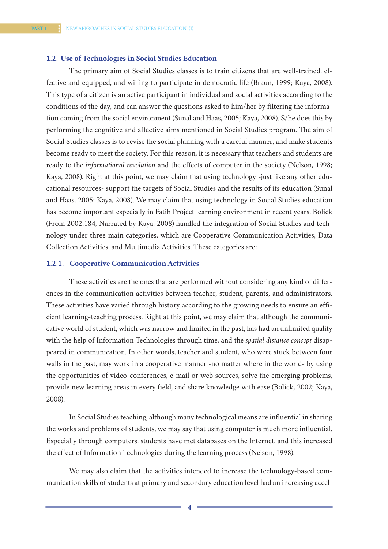#### 1.2. **Use of Technologies in Social Studies Education**

The primary aim of Social Studies classes is to train citizens that are well-trained, effective and equipped, and willing to participate in democratic life (Braun, 1999; Kaya, 2008). This type of a citizen is an active participant in individual and social activities according to the conditions of the day, and can answer the questions asked to him/her by filtering the information coming from the social environment (Sunal and Haas, 2005; Kaya, 2008). S/he does this by performing the cognitive and affective aims mentioned in Social Studies program. The aim of Social Studies classes is to revise the social planning with a careful manner, and make students become ready to meet the society. For this reason, it is necessary that teachers and students are ready to the *informational revolution* and the effects of computer in the society (Nelson, 1998; Kaya, 2008). Right at this point, we may claim that using technology -just like any other educational resources- support the targets of Social Studies and the results of its education (Sunal and Haas, 2005; Kaya, 2008). We may claim that using technology in Social Studies education has become important especially in Fatih Project learning environment in recent years. Bolick (From 2002:184, Narrated by Kaya, 2008) handled the integration of Social Studies and technology under three main categories, which are Cooperative Communication Activities, Data Collection Activities, and Multimedia Activities. These categories are;

#### 1.2.1. **Cooperative Communication Activities**

These activities are the ones that are performed without considering any kind of differences in the communication activities between teacher, student, parents, and administrators. These activities have varied through history according to the growing needs to ensure an efficient learning-teaching process. Right at this point, we may claim that although the communicative world of student, which was narrow and limited in the past, has had an unlimited quality with the help of Information Technologies through time, and the *spatial distance concept* disappeared in communication. In other words, teacher and student, who were stuck between four walls in the past, may work in a cooperative manner -no matter where in the world- by using the opportunities of video-conferences, e-mail or web sources, solve the emerging problems, provide new learning areas in every field, and share knowledge with ease (Bolick, 2002; Kaya, 2008).

In Social Studies teaching, although many technological means are influential in sharing the works and problems of students, we may say that using computer is much more influential. Especially through computers, students have met databases on the Internet, and this increased the effect of Information Technologies during the learning process (Nelson, 1998).

We may also claim that the activities intended to increase the technology-based communication skills of students at primary and secondary education level had an increasing accel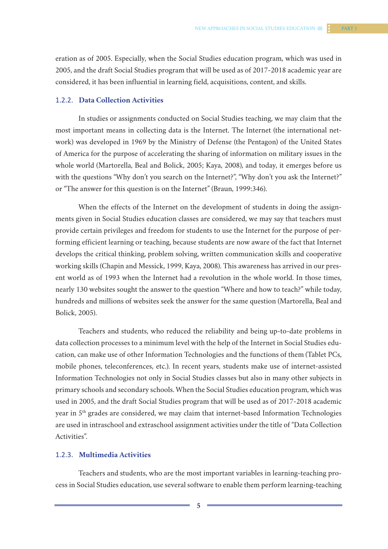eration as of 2005. Especially, when the Social Studies education program, which was used in 2005, and the draft Social Studies program that will be used as of 2017-2018 academic year are considered, it has been influential in learning field, acquisitions, content, and skills.

#### 1.2.2. **Data Collection Activities**

In studies or assignments conducted on Social Studies teaching, we may claim that the most important means in collecting data is the Internet. The Internet (the international network) was developed in 1969 by the Ministry of Defense (the Pentagon) of the United States of America for the purpose of accelerating the sharing of information on military issues in the whole world (Martorella, Beal and Bolick, 2005; Kaya, 2008), and today, it emerges before us with the questions "Why don't you search on the Internet?", "Why don't you ask the Internet?" or "The answer for this question is on the Internet" (Braun, 1999:346).

When the effects of the Internet on the development of students in doing the assignments given in Social Studies education classes are considered, we may say that teachers must provide certain privileges and freedom for students to use the Internet for the purpose of performing efficient learning or teaching, because students are now aware of the fact that Internet develops the critical thinking, problem solving, written communication skills and cooperative working skills (Chapin and Messick, 1999, Kaya, 2008). This awareness has arrived in our present world as of 1993 when the Internet had a revolution in the whole world. In those times, nearly 130 websites sought the answer to the question "Where and how to teach?" while today, hundreds and millions of websites seek the answer for the same question (Martorella, Beal and Bolick, 2005).

Teachers and students, who reduced the reliability and being up-to-date problems in data collection processes to a minimum level with the help of the Internet in Social Studies education, can make use of other Information Technologies and the functions of them (Tablet PCs, mobile phones, teleconferences, etc.). In recent years, students make use of internet-assisted Information Technologies not only in Social Studies classes but also in many other subjects in primary schools and secondary schools. When the Social Studies education program, which was used in 2005, and the draft Social Studies program that will be used as of 2017-2018 academic year in 5th grades are considered, we may claim that internet-based Information Technologies are used in intraschool and extraschool assignment activities under the title of "Data Collection Activities".

## 1.2.3. **Multimedia Activities**

Teachers and students, who are the most important variables in learning-teaching process in Social Studies education, use several software to enable them perform learning-teaching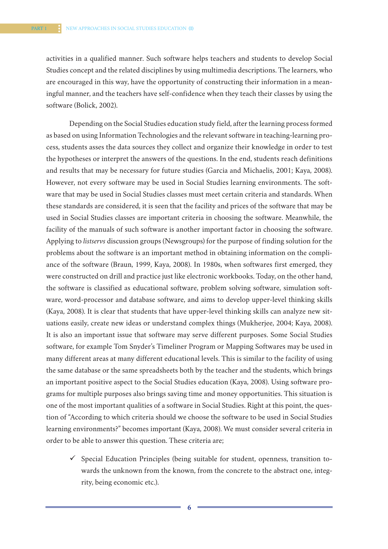activities in a qualified manner. Such software helps teachers and students to develop Social Studies concept and the related disciplines by using multimedia descriptions. The learners, who are encouraged in this way, have the opportunity of constructing their information in a meaningful manner, and the teachers have self-confidence when they teach their classes by using the software (Bolick, 2002).

Depending on the Social Studies education study field, after the learning process formed as based on using Information Technologies and the relevant software in teaching-learning process, students asses the data sources they collect and organize their knowledge in order to test the hypotheses or interpret the answers of the questions. In the end, students reach definitions and results that may be necessary for future studies (Garcia and Michaelis, 2001; Kaya, 2008). However, not every software may be used in Social Studies learning environments. The software that may be used in Social Studies classes must meet certain criteria and standards. When these standards are considered, it is seen that the facility and prices of the software that may be used in Social Studies classes are important criteria in choosing the software. Meanwhile, the facility of the manuals of such software is another important factor in choosing the software. Applying to *listservs* discussion groups (Newsgroups) for the purpose of finding solution for the problems about the software is an important method in obtaining information on the compliance of the software (Braun, 1999, Kaya, 2008). In 1980s, when softwares first emerged, they were constructed on drill and practice just like electronic workbooks. Today, on the other hand, the software is classified as educational software, problem solving software, simulation software, word-processor and database software, and aims to develop upper-level thinking skills (Kaya, 2008). It is clear that students that have upper-level thinking skills can analyze new situations easily, create new ideas or understand complex things (Mukherjee, 2004; Kaya, 2008). It is also an important issue that software may serve different purposes. Some Social Studies software, for example Tom Snyder's Timeliner Program or Mapping Softwares may be used in many different areas at many different educational levels. This is similar to the facility of using the same database or the same spreadsheets both by the teacher and the students, which brings an important positive aspect to the Social Studies education (Kaya, 2008). Using software programs for multiple purposes also brings saving time and money opportunities. This situation is one of the most important qualities of a software in Social Studies. Right at this point, the question of "According to which criteria should we choose the software to be used in Social Studies learning environments?" becomes important (Kaya, 2008). We must consider several criteria in order to be able to answer this question. These criteria are;

 $\checkmark$  Special Education Principles (being suitable for student, openness, transition towards the unknown from the known, from the concrete to the abstract one, integrity, being economic etc.).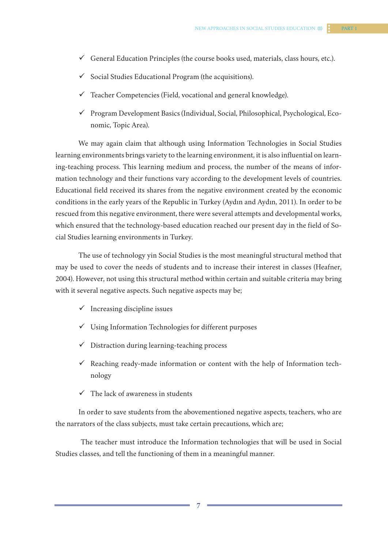- $\checkmark$  General Education Principles (the course books used, materials, class hours, etc.).
- $\checkmark$  Social Studies Educational Program (the acquisitions).
- $\checkmark$  Teacher Competencies (Field, vocational and general knowledge).
- $\checkmark$  Program Development Basics (Individual, Social, Philosophical, Psychological, Economic, Topic Area).

We may again claim that although using Information Technologies in Social Studies learning environments brings variety to the learning environment, it is also influential on learning-teaching process. This learning medium and process, the number of the means of information technology and their functions vary according to the development levels of countries. Educational field received its shares from the negative environment created by the economic conditions in the early years of the Republic in Turkey (Aydın and Aydın, 2011). In order to be rescued from this negative environment, there were several attempts and developmental works, which ensured that the technology-based education reached our present day in the field of Social Studies learning environments in Turkey.

The use of technology yin Social Studies is the most meaningful structural method that may be used to cover the needs of students and to increase their interest in classes (Heafner, 2004). However, not using this structural method within certain and suitable criteria may bring with it several negative aspects. Such negative aspects may be;

- $\checkmark$  Increasing discipline issues
- $\checkmark$  Using Information Technologies for different purposes
- $\checkmark$  Distraction during learning-teaching process
- $\checkmark$  Reaching ready-made information or content with the help of Information technology
- $\checkmark$  The lack of awareness in students

In order to save students from the abovementioned negative aspects, teachers, who are the narrators of the class subjects, must take certain precautions, which are;

 The teacher must introduce the Information technologies that will be used in Social Studies classes, and tell the functioning of them in a meaningful manner.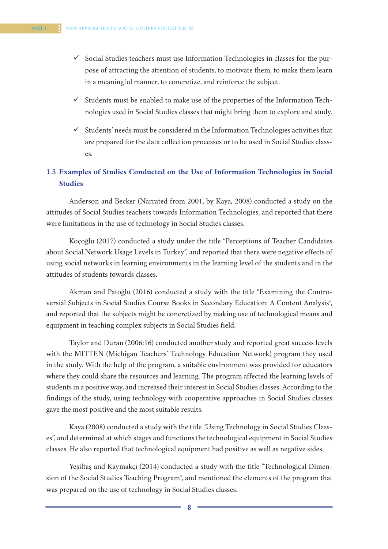- $\checkmark$  Social Studies teachers must use Information Technologies in classes for the purpose of attracting the attention of students, to motivate them, to make them learn in a meaningful manner, to concretize, and reinforce the subject.
- $\checkmark$  Students must be enabled to make use of the properties of the Information Technologies used in Social Studies classes that might bring them to explore and study.
- $\checkmark$  Students' needs must be considered in the Information Technologies activities that are prepared for the data collection processes or to be used in Social Studies classes.

## 1.3.**Examples of Studies Conducted on the Use of Information Technologies in Social Studies**

Anderson and Becker (Narrated from 2001, by Kaya, 2008) conducted a study on the attitudes of Social Studies teachers towards Information Technologies, and reported that there were limitations in the use of technology in Social Studies classes.

Koçoğlu (2017) conducted a study under the title "Perceptions of Teacher Candidates about Social Network Usage Levels in Turkey", and reported that there were negative effects of using social networks in learning environments in the learning level of the students and in the attitudes of students towards classes.

Akman and Patoğlu (2016) conducted a study with the title "Examining the Controversial Subjects in Social Studies Course Books in Secondary Education: A Content Analysis", and reported that the subjects might be concretized by making use of technological means and equipment in teaching complex subjects in Social Studies field.

Taylor and Duran (2006:16) conducted another study and reported great success levels with the MITTEN (Michigan Teachers' Technology Education Network) program they used in the study. With the help of the program, a suitable environment was provided for educators where they could share the resources and learning. The program affected the learning levels of students in a positive way, and increased their interest in Social Studies classes. According to the findings of the study, using technology with cooperative approaches in Social Studies classes gave the most positive and the most suitable results.

Kaya (2008) conducted a study with the title "Using Technology in Social Studies Classes", and determined at which stages and functions the technological equipment in Social Studies classes. He also reported that technological equipment had positive as well as negative sides.

Yeşiltaş and Kaymakçı (2014) conducted a study with the title "Technological Dimension of the Social Studies Teaching Program", and mentioned the elements of the program that was prepared on the use of technology in Social Studies classes.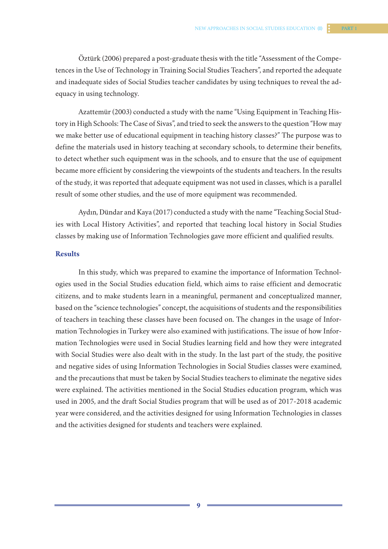Öztürk (2006) prepared a post-graduate thesis with the title "Assessment of the Competences in the Use of Technology in Training Social Studies Teachers", and reported the adequate and inadequate sides of Social Studies teacher candidates by using techniques to reveal the adequacy in using technology.

Azattemür (2003) conducted a study with the name "Using Equipment in Teaching History in High Schools: The Case of Sivas", and tried to seek the answers to the question "How may we make better use of educational equipment in teaching history classes?" The purpose was to define the materials used in history teaching at secondary schools, to determine their benefits, to detect whether such equipment was in the schools, and to ensure that the use of equipment became more efficient by considering the viewpoints of the students and teachers. In the results of the study, it was reported that adequate equipment was not used in classes, which is a parallel result of some other studies, and the use of more equipment was recommended.

Aydın, Dündar and Kaya (2017) conducted a study with the name "Teaching Social Studies with Local History Activities", and reported that teaching local history in Social Studies classes by making use of Information Technologies gave more efficient and qualified results.

### **Results**

In this study, which was prepared to examine the importance of Information Technologies used in the Social Studies education field, which aims to raise efficient and democratic citizens, and to make students learn in a meaningful, permanent and conceptualized manner, based on the "science technologies" concept, the acquisitions of students and the responsibilities of teachers in teaching these classes have been focused on. The changes in the usage of Information Technologies in Turkey were also examined with justifications. The issue of how Information Technologies were used in Social Studies learning field and how they were integrated with Social Studies were also dealt with in the study. In the last part of the study, the positive and negative sides of using Information Technologies in Social Studies classes were examined, and the precautions that must be taken by Social Studies teachers to eliminate the negative sides were explained. The activities mentioned in the Social Studies education program, which was used in 2005, and the draft Social Studies program that will be used as of 2017-2018 academic year were considered, and the activities designed for using Information Technologies in classes and the activities designed for students and teachers were explained.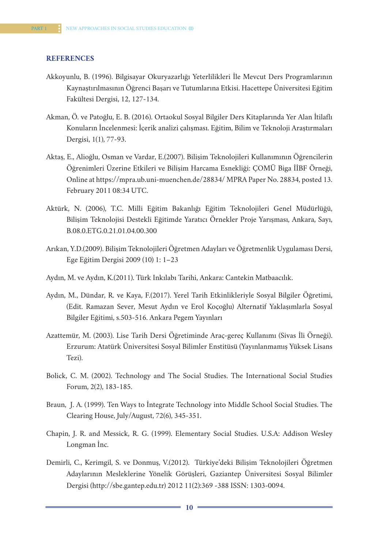#### **REFERENCES**

- Akkoyunlu, B. (1996). Bilgisayar Okuryazarlığı Yeterlilikleri İle Mevcut Ders Programlarının Kaynaştırılmasının Öğrenci Başarı ve Tutumlarına Etkisi. Hacettepe Üniversitesi Eğitim Fakültesi Dergisi, 12, 127-134.
- Akman, Ö. ve Patoğlu, E. B. (2016). Ortaokul Sosyal Bilgiler Ders Kitaplarında Yer Alan İtilaflı Konuların İncelenmesi: İçerik analizi çalışması. Eğitim, Bilim ve Teknoloji Araştırmaları Dergisi, 1(1), 77-93.
- Aktaş, E., Alioğlu, Osman ve Vardar, E.(2007). Bilişim Teknolojileri Kullanımının Öğrencilerin Öğrenimleri Üzerine Etkileri ve Bilişim Harcama Esnekliği: ÇOMÜ Biga İİBF Örneği, Online at https://mpra.ub.uni-muenchen.de/28834/ MPRA Paper No. 28834, posted 13. February 2011 08:34 UTC.
- Aktürk, N. (2006), T.C. Milli Eğitim Bakanlığı Eğitim Teknolojileri Genel Müdürlüğü, Bilişim Teknolojisi Destekli Eğitimde Yaratıcı Örnekler Proje Yarışması, Ankara, Sayı, B.08.0.ETG.0.21.01.04.00.300
- Arıkan, Y.D.(2009). Bilişim Teknolojileri Öğretmen Adayları ve Öğretmenlik Uygulaması Dersi, Ege Eğitim Dergisi 2009 (10) 1: 1–23
- Aydın, M. ve Aydın, K.(2011). Türk Inkılabı Tarihi, Ankara: Cantekin Matbaacılık.
- Aydın, M., Dündar, R. ve Kaya, F.(2017). Yerel Tarih Etkinlikleriyle Sosyal Bilgiler Öğretimi, (Edit. Ramazan Sever, Mesut Aydın ve Erol Koçoğlu) Alternatif Yaklaşımlarla Sosyal Bilgiler Eğitimi, s.503-516. Ankara Pegem Yayınları
- Azattemür, M. (2003). Lise Tarih Dersi Öğretiminde Araç-gereç Kullanımı (Sivas İli Örneği). Erzurum: Atatürk Üniversitesi Sosyal Bilimler Enstitüsü (Yayınlanmamış Yüksek Lisans Tezi).
- Bolick, C. M. (2002). Technology and The Social Studies. The International Social Studies Forum, 2(2), 183-185.
- Braun, J. A. (1999). Ten Ways to İntegrate Technology into Middle School Social Studies. The Clearing House, July/August, 72(6), 345-351.
- Chapin, J. R. and Messick, R. G. (1999). Elementary Social Studies. U.S.A: Addison Wesley Longman İnc.
- Demirli, C., Kerimgil, S. ve Donmuş, V.(2012). Türkiye'deki Bilişim Teknolojileri Öğretmen Adaylarının Mesleklerine Yönelik Görüşleri, Gaziantep Üniversitesi Sosyal Bilimler Dergisi (http://sbe.gantep.edu.tr) 2012 11(2):369 -388 ISSN: 1303-0094.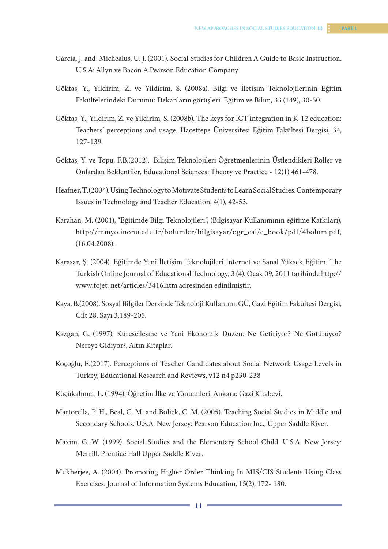- Garcia, J. and Michealus, U. J. (2001). Social Studies for Children A Guide to Basic Instruction. U.S.A: Allyn ve Bacon A Pearson Education Company
- Göktas, Y., Yildirim, Z. ve Yildirim, S. (2008a). Bilgi ve İletişim Teknolojilerinin Eğitim Fakültelerindeki Durumu: Dekanların görüşleri. Eğitim ve Bilim, 33 (149), 30-50.
- Göktas, Y., Yildirim, Z. ve Yildirim, S. (2008b). The keys for ICT integration in K-12 education: Teachers' perceptions and usage. Hacettepe Üniversitesi Eğitim Fakültesi Dergisi, 34, 127-139.
- Göktaş, Y. ve Topu, F.B.(2012). Bilişim Teknolojileri Öğretmenlerinin Üstlendikleri Roller ve Onlardan Beklentiler, Educational Sciences: Theory ve Practice - 12(1) 461-478.
- Heafner, T. (2004). Using Technology to Motivate Students to Learn Social Studies. Contemporary Issues in Technology and Teacher Education, 4(1), 42-53.
- Karahan, M. (2001), "Eğitimde Bilgi Teknolojileri", (Bilgisayar Kullanımının eğitime Katkıları), http://mmyo.inonu.edu.tr/bolumler/bilgisayar/ogr\_cal/e\_book/pdf/4bolum.pdf, (16.04.2008).
- Karasar, Ş. (2004). Eğitimde Yeni İletişim Teknolojileri İnternet ve Sanal Yüksek Eğitim. The Turkish Online Journal of Educational Technology, 3 (4). Ocak 09, 2011 tarihinde http:// www.tojet. net/articles/3416.htm adresinden edinilmiştir.
- Kaya, B.(2008). Sosyal Bilgiler Dersinde Teknoloji Kullanımı, GÜ, Gazi Eğitim Fakültesi Dergisi, Cilt 28, Sayı 3,189-205.
- Kazgan, G. (1997), Küreselleşme ve Yeni Ekonomik Düzen: Ne Getiriyor? Ne Götürüyor? Nereye Gidiyor?, Altın Kitaplar.
- Koçoğlu, E.(2017). Perceptions of Teacher Candidates about Social Network Usage Levels in Turkey, Educational Research and Reviews, v12 n4 p230-238
- Küçükahmet, L. (1994). Öğretim İlke ve Yöntemleri. Ankara: Gazi Kitabevi.
- Martorella, P. H., Beal, C. M. and Bolick, C. M. (2005). Teaching Social Studies in Middle and Secondary Schools. U.S.A. New Jersey: Pearson Education Inc., Upper Saddle River.
- Maxim, G. W. (1999). Social Studies and the Elementary School Child. U.S.A. New Jersey: Merrill, Prentice Hall Upper Saddle River.
- Mukherjee, A. (2004). Promoting Higher Order Thinking In MIS/CIS Students Using Class Exercises. Journal of Information Systems Education, 15(2), 172- 180.